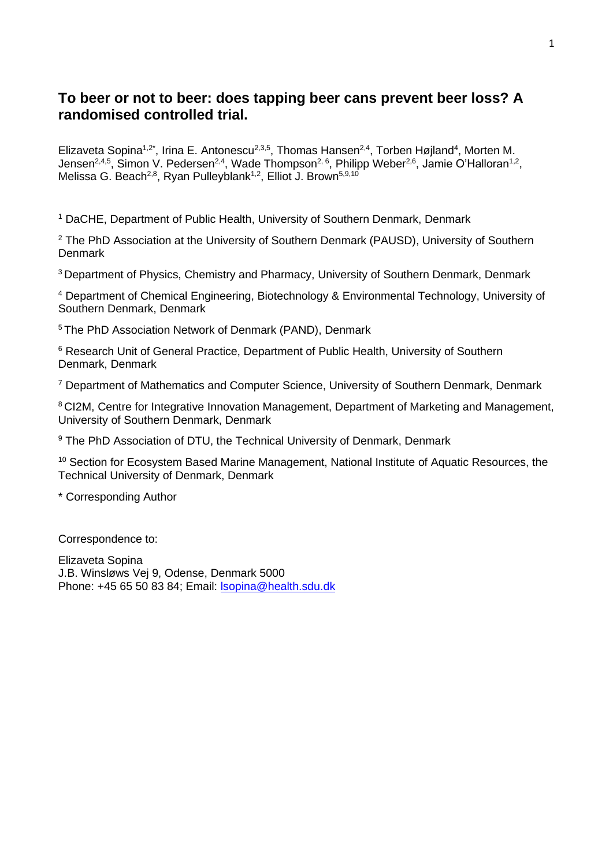# **To beer or not to beer: does tapping beer cans prevent beer loss? A randomised controlled trial.**

Elizaveta Sopina<sup>1,2\*</sup>, Irina E. Antonescu<sup>2,3,5</sup>, Thomas Hansen<sup>2,4</sup>, Torben Højland<sup>4</sup>, Morten M. Jensen<sup>2,4,5</sup>, Simon V. Pedersen<sup>2,4</sup>, Wade Thompson<sup>2,6</sup>, Philipp Weber<sup>2,6</sup>, Jamie O'Halloran<sup>1,2</sup>, Melissa G. Beach<sup>2,8</sup>, Ryan Pulleyblank<sup>1,2</sup>, Elliot J. Brown<sup>5,9,10</sup>

<sup>1</sup> DaCHE, Department of Public Health, University of Southern Denmark, Denmark

<sup>2</sup> The PhD Association at the University of Southern Denmark (PAUSD), University of Southern **Denmark** 

<sup>3</sup> Department of Physics, Chemistry and Pharmacy, University of Southern Denmark, Denmark

<sup>4</sup> Department of Chemical Engineering, Biotechnology & Environmental Technology, University of Southern Denmark, Denmark

<sup>5</sup> The PhD Association Network of Denmark (PAND), Denmark

<sup>6</sup> Research Unit of General Practice, Department of Public Health, University of Southern Denmark, Denmark

<sup>7</sup> Department of Mathematics and Computer Science, University of Southern Denmark, Denmark

<sup>8</sup> CI2M, Centre for Integrative Innovation Management, Department of Marketing and Management, University of Southern Denmark, Denmark

<sup>9</sup> The PhD Association of DTU, the Technical University of Denmark, Denmark

<sup>10</sup> Section for Ecosystem Based Marine Management, National Institute of Aquatic Resources, the Technical University of Denmark, Denmark

\* Corresponding Author

Correspondence to:

Elizaveta Sopina J.B. Winsløws Vej 9, Odense, Denmark 5000 Phone: +45 65 50 83 84; Email: [lsopina@health.sdu.dk](mailto:lsopina@health.sdu.dk)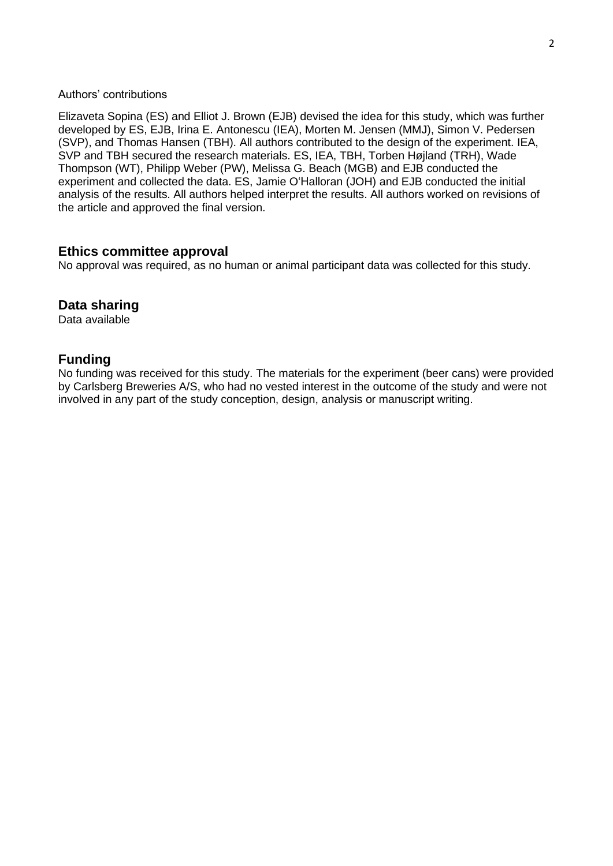### Authors' contributions

Elizaveta Sopina (ES) and Elliot J. Brown (EJB) devised the idea for this study, which was further developed by ES, EJB, Irina E. Antonescu (IEA), Morten M. Jensen (MMJ), Simon V. Pedersen (SVP), and Thomas Hansen (TBH). All authors contributed to the design of the experiment. IEA, SVP and TBH secured the research materials. ES, IEA, TBH, Torben Højland (TRH), Wade Thompson (WT), Philipp Weber (PW), Melissa G. Beach (MGB) and EJB conducted the experiment and collected the data. ES, Jamie O'Halloran (JOH) and EJB conducted the initial analysis of the results. All authors helped interpret the results. All authors worked on revisions of the article and approved the final version.

## **Ethics committee approval**

No approval was required, as no human or animal participant data was collected for this study.

# **Data sharing**

Data available

# **Funding**

No funding was received for this study. The materials for the experiment (beer cans) were provided by Carlsberg Breweries A/S, who had no vested interest in the outcome of the study and were not involved in any part of the study conception, design, analysis or manuscript writing.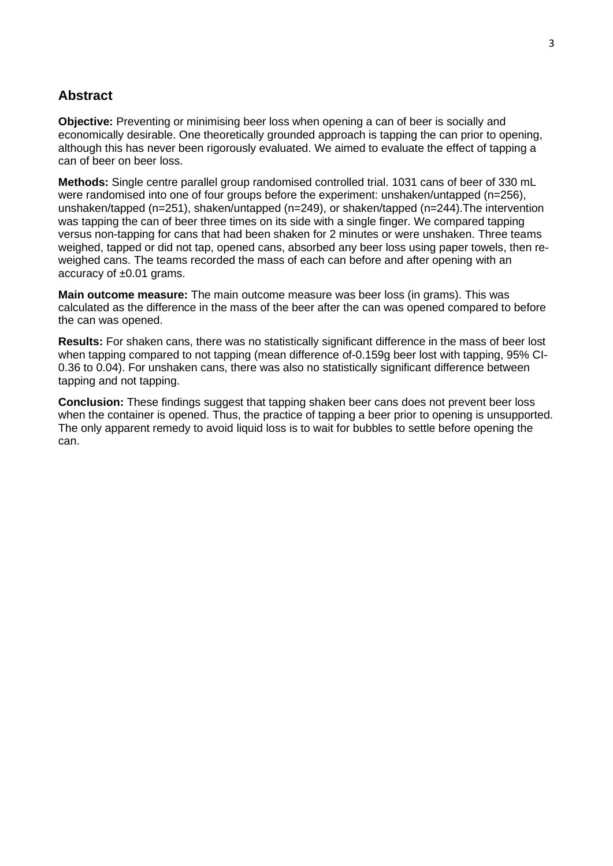# **Abstract**

**Objective:** Preventing or minimising beer loss when opening a can of beer is socially and economically desirable. One theoretically grounded approach is tapping the can prior to opening, although this has never been rigorously evaluated. We aimed to evaluate the effect of tapping a can of beer on beer loss.

**Methods:** Single centre parallel group randomised controlled trial. 1031 cans of beer of 330 mL were randomised into one of four groups before the experiment: unshaken/untapped (n=256), unshaken/tapped (n=251), shaken/untapped (n=249), or shaken/tapped (n=244).The intervention was tapping the can of beer three times on its side with a single finger. We compared tapping versus non-tapping for cans that had been shaken for 2 minutes or were unshaken. Three teams weighed, tapped or did not tap, opened cans, absorbed any beer loss using paper towels, then reweighed cans. The teams recorded the mass of each can before and after opening with an accuracy of ±0.01 grams.

**Main outcome measure:** The main outcome measure was beer loss (in grams). This was calculated as the difference in the mass of the beer after the can was opened compared to before the can was opened.

**Results:** For shaken cans, there was no statistically significant difference in the mass of beer lost when tapping compared to not tapping (mean difference of-0.159g beer lost with tapping, 95% CI-0.36 to 0.04). For unshaken cans, there was also no statistically significant difference between tapping and not tapping.

**Conclusion:** These findings suggest that tapping shaken beer cans does not prevent beer loss when the container is opened. Thus, the practice of tapping a beer prior to opening is unsupported. The only apparent remedy to avoid liquid loss is to wait for bubbles to settle before opening the can.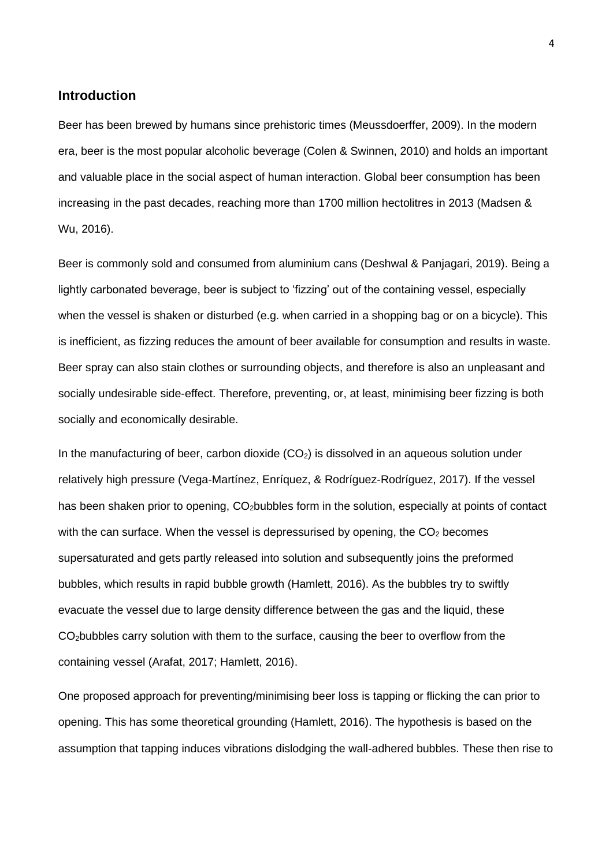## **Introduction**

Beer has been brewed by humans since prehistoric times (Meussdoerffer, 2009). In the modern era, beer is the most popular alcoholic beverage (Colen & Swinnen, 2010) and holds an important and valuable place in the social aspect of human interaction. Global beer consumption has been increasing in the past decades, reaching more than 1700 million hectolitres in 2013 (Madsen & Wu, 2016).

Beer is commonly sold and consumed from aluminium cans (Deshwal & Panjagari, 2019). Being a lightly carbonated beverage, beer is subject to 'fizzing' out of the containing vessel, especially when the vessel is shaken or disturbed (e.g. when carried in a shopping bag or on a bicycle). This is inefficient, as fizzing reduces the amount of beer available for consumption and results in waste. Beer spray can also stain clothes or surrounding objects, and therefore is also an unpleasant and socially undesirable side-effect. Therefore, preventing, or, at least, minimising beer fizzing is both socially and economically desirable.

In the manufacturing of beer, carbon dioxide  $(CO<sub>2</sub>)$  is dissolved in an aqueous solution under relatively high pressure (Vega-Martínez, Enríquez, & Rodríguez-Rodríguez, 2017). If the vessel has been shaken prior to opening, CO<sub>2</sub>bubbles form in the solution, especially at points of contact with the can surface. When the vessel is depressurised by opening, the  $CO<sub>2</sub>$  becomes supersaturated and gets partly released into solution and subsequently joins the preformed bubbles, which results in rapid bubble growth (Hamlett, 2016). As the bubbles try to swiftly evacuate the vessel due to large density difference between the gas and the liquid, these CO2bubbles carry solution with them to the surface, causing the beer to overflow from the containing vessel (Arafat, 2017; Hamlett, 2016).

One proposed approach for preventing/minimising beer loss is tapping or flicking the can prior to opening. This has some theoretical grounding (Hamlett, 2016). The hypothesis is based on the assumption that tapping induces vibrations dislodging the wall-adhered bubbles. These then rise to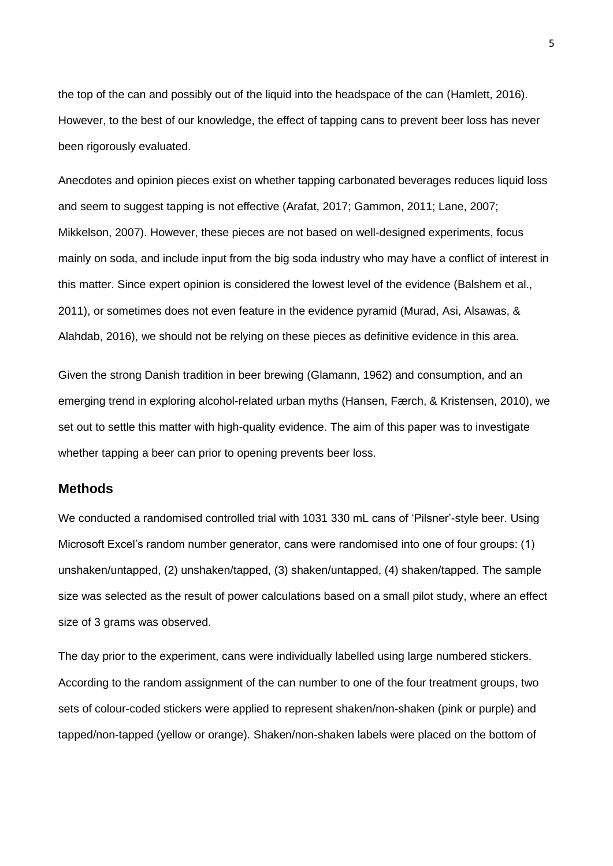the top of the can and possibly out of the liquid into the headspace of the can (Hamlett, 2016). However, to the best of our knowledge, the effect of tapping cans to prevent beer loss has never been rigorously evaluated.

Anecdotes and opinion pieces exist on whether tapping carbonated beverages reduces liquid loss and seem to suggest tapping is not effective (Arafat, 2017; Gammon, 2011; Lane, 2007; Mikkelson, 2007). However, these pieces are not based on well-designed experiments, focus mainly on soda, and include input from the big soda industry who may have a conflict of interest in this matter. Since expert opinion is considered the lowest level of the evidence (Balshem et al., 2011), or sometimes does not even feature in the evidence pyramid (Murad, Asi, Alsawas, & Alahdab, 2016), we should not be relying on these pieces as definitive evidence in this area.

Given the strong Danish tradition in beer brewing (Glamann, 1962) and consumption, and an emerging trend in exploring alcohol-related urban myths (Hansen, Færch, & Kristensen, 2010), we set out to settle this matter with high-quality evidence. The aim of this paper was to investigate whether tapping a beer can prior to opening prevents beer loss.

### **Methods**

We conducted a randomised controlled trial with 1031 330 mL cans of 'Pilsner'-style beer. Using Microsoft Excel's random number generator, cans were randomised into one of four groups: (1) unshaken/untapped, (2) unshaken/tapped, (3) shaken/untapped, (4) shaken/tapped. The sample size was selected as the result of power calculations based on a small pilot study, where an effect size of 3 grams was observed.

The day prior to the experiment, cans were individually labelled using large numbered stickers. According to the random assignment of the can number to one of the four treatment groups, two sets of colour-coded stickers were applied to represent shaken/non-shaken (pink or purple) and tapped/non-tapped (yellow or orange). Shaken/non-shaken labels were placed on the bottom of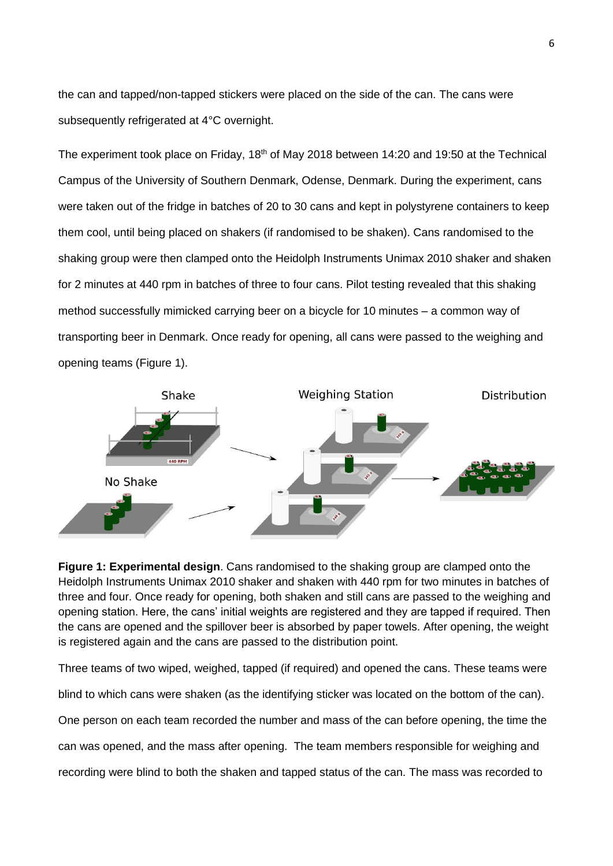the can and tapped/non-tapped stickers were placed on the side of the can. The cans were subsequently refrigerated at 4°C overnight.

The experiment took place on Friday, 18<sup>th</sup> of May 2018 between 14:20 and 19:50 at the Technical Campus of the University of Southern Denmark, Odense, Denmark. During the experiment, cans were taken out of the fridge in batches of 20 to 30 cans and kept in polystyrene containers to keep them cool, until being placed on shakers (if randomised to be shaken). Cans randomised to the shaking group were then clamped onto the Heidolph Instruments Unimax 2010 shaker and shaken for 2 minutes at 440 rpm in batches of three to four cans. Pilot testing revealed that this shaking method successfully mimicked carrying beer on a bicycle for 10 minutes – a common way of transporting beer in Denmark. Once ready for opening, all cans were passed to the weighing and opening teams (Figure 1).



**Figure 1: Experimental design**. Cans randomised to the shaking group are clamped onto the Heidolph Instruments Unimax 2010 shaker and shaken with 440 rpm for two minutes in batches of three and four. Once ready for opening, both shaken and still cans are passed to the weighing and opening station. Here, the cans' initial weights are registered and they are tapped if required. Then the cans are opened and the spillover beer is absorbed by paper towels. After opening, the weight is registered again and the cans are passed to the distribution point.

Three teams of two wiped, weighed, tapped (if required) and opened the cans. These teams were blind to which cans were shaken (as the identifying sticker was located on the bottom of the can).

One person on each team recorded the number and mass of the can before opening, the time the

can was opened, and the mass after opening. The team members responsible for weighing and

recording were blind to both the shaken and tapped status of the can. The mass was recorded to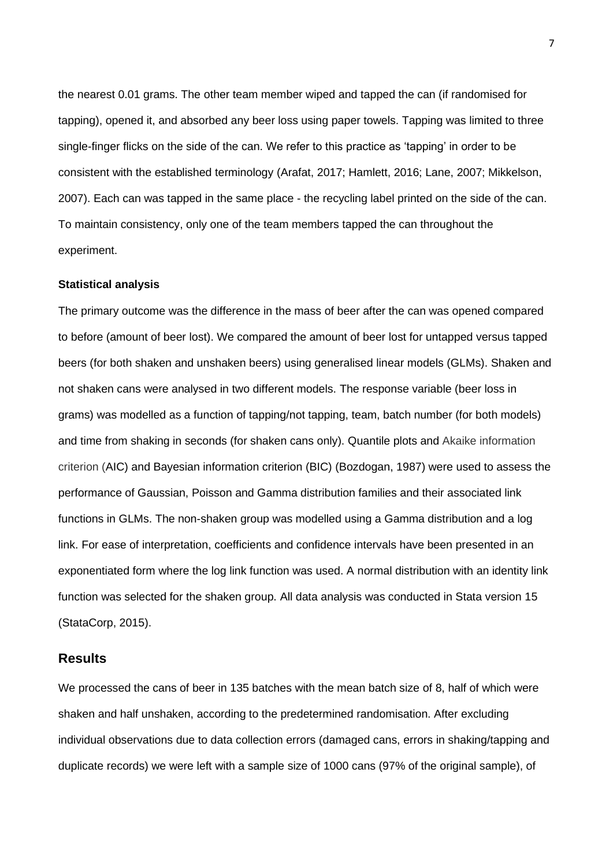the nearest 0.01 grams. The other team member wiped and tapped the can (if randomised for tapping), opened it, and absorbed any beer loss using paper towels. Tapping was limited to three single-finger flicks on the side of the can. We refer to this practice as 'tapping' in order to be consistent with the established terminology (Arafat, 2017; Hamlett, 2016; Lane, 2007; Mikkelson, 2007). Each can was tapped in the same place - the recycling label printed on the side of the can. To maintain consistency, only one of the team members tapped the can throughout the experiment.

#### **Statistical analysis**

The primary outcome was the difference in the mass of beer after the can was opened compared to before (amount of beer lost). We compared the amount of beer lost for untapped versus tapped beers (for both shaken and unshaken beers) using generalised linear models (GLMs). Shaken and not shaken cans were analysed in two different models. The response variable (beer loss in grams) was modelled as a function of tapping/not tapping, team, batch number (for both models) and time from shaking in seconds (for shaken cans only). Quantile plots and Akaike information criterion (AIC) and Bayesian information criterion (BIC) (Bozdogan, 1987) were used to assess the performance of Gaussian, Poisson and Gamma distribution families and their associated link functions in GLMs. The non-shaken group was modelled using a Gamma distribution and a log link. For ease of interpretation, coefficients and confidence intervals have been presented in an exponentiated form where the log link function was used. A normal distribution with an identity link function was selected for the shaken group. All data analysis was conducted in Stata version 15 (StataCorp, 2015).

### **Results**

We processed the cans of beer in 135 batches with the mean batch size of 8, half of which were shaken and half unshaken, according to the predetermined randomisation. After excluding individual observations due to data collection errors (damaged cans, errors in shaking/tapping and duplicate records) we were left with a sample size of 1000 cans (97% of the original sample), of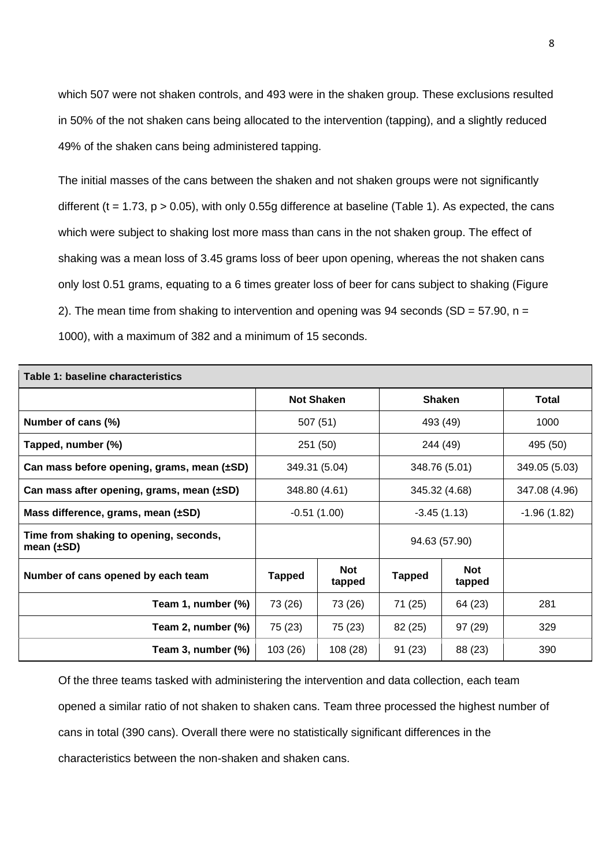which 507 were not shaken controls, and 493 were in the shaken group. These exclusions resulted in 50% of the not shaken cans being allocated to the intervention (tapping), and a slightly reduced 49% of the shaken cans being administered tapping.

The initial masses of the cans between the shaken and not shaken groups were not significantly different (t = 1.73,  $p > 0.05$ ), with only 0.55g difference at baseline (Table 1). As expected, the cans which were subject to shaking lost more mass than cans in the not shaken group. The effect of shaking was a mean loss of 3.45 grams loss of beer upon opening, whereas the not shaken cans only lost 0.51 grams, equating to a 6 times greater loss of beer for cans subject to shaking (Figure 2). The mean time from shaking to intervention and opening was 94 seconds (SD =  $57.90$ , n = 1000), with a maximum of 382 and a minimum of 15 seconds.

| Table 1: baseline characteristics                         |                   |                      |               |                      |               |  |  |  |
|-----------------------------------------------------------|-------------------|----------------------|---------------|----------------------|---------------|--|--|--|
|                                                           | <b>Not Shaken</b> |                      | <b>Shaken</b> |                      | <b>Total</b>  |  |  |  |
| Number of cans (%)                                        | 507 (51)          |                      | 493 (49)      |                      | 1000          |  |  |  |
| Tapped, number (%)                                        | 251 (50)          |                      | 244 (49)      |                      | 495 (50)      |  |  |  |
| Can mass before opening, grams, mean (±SD)                | 349.31 (5.04)     |                      | 348.76 (5.01) |                      | 349.05 (5.03) |  |  |  |
| Can mass after opening, grams, mean $(\pm SD)$            | 348.80 (4.61)     |                      | 345.32 (4.68) |                      | 347.08 (4.96) |  |  |  |
| Mass difference, grams, mean $(\pm SD)$                   | $-0.51(1.00)$     |                      | $-3.45(1.13)$ |                      | $-1.96(1.82)$ |  |  |  |
| Time from shaking to opening, seconds,<br>mean $(\pm SD)$ |                   |                      | 94.63 (57.90) |                      |               |  |  |  |
| Number of cans opened by each team                        | <b>Tapped</b>     | <b>Not</b><br>tapped | <b>Tapped</b> | <b>Not</b><br>tapped |               |  |  |  |
| Team 1, number (%)                                        | 73 (26)           | 73 (26)              | 71 (25)       | 64 (23)              | 281           |  |  |  |
| Team 2, number (%)                                        | 75 (23)           | 75 (23)              | 82 (25)       | 97(29)               | 329           |  |  |  |
| Team 3, number (%)                                        | 103 (26)          | 108 (28)             | 91(23)        | 88 (23)              | 390           |  |  |  |

Of the three teams tasked with administering the intervention and data collection, each team opened a similar ratio of not shaken to shaken cans. Team three processed the highest number of cans in total (390 cans). Overall there were no statistically significant differences in the characteristics between the non-shaken and shaken cans.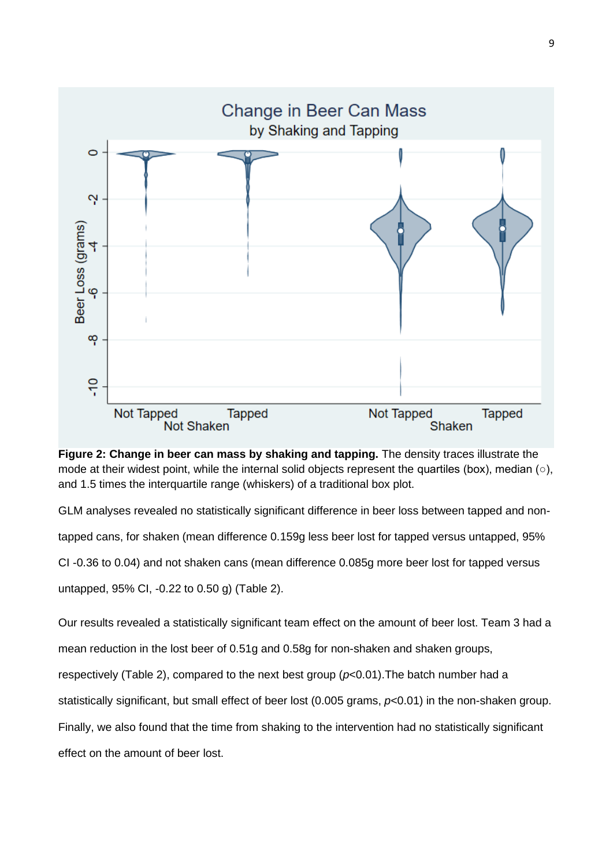

**Figure 2: Change in beer can mass by shaking and tapping.** The density traces illustrate the mode at their widest point, while the internal solid objects represent the quartiles (box), median (○), and 1.5 times the interquartile range (whiskers) of a traditional box plot.

GLM analyses revealed no statistically significant difference in beer loss between tapped and non-

tapped cans, for shaken (mean difference 0.159g less beer lost for tapped versus untapped, 95%

CI -0.36 to 0.04) and not shaken cans (mean difference 0.085g more beer lost for tapped versus

untapped, 95% CI, -0.22 to 0.50 g) (Table 2).

Our results revealed a statistically significant team effect on the amount of beer lost. Team 3 had a

mean reduction in the lost beer of 0.51g and 0.58g for non-shaken and shaken groups,

respectively (Table 2), compared to the next best group (*p*<0.01).The batch number had a

statistically significant, but small effect of beer lost (0.005 grams, *p*<0.01) in the non-shaken group.

Finally, we also found that the time from shaking to the intervention had no statistically significant

effect on the amount of beer lost.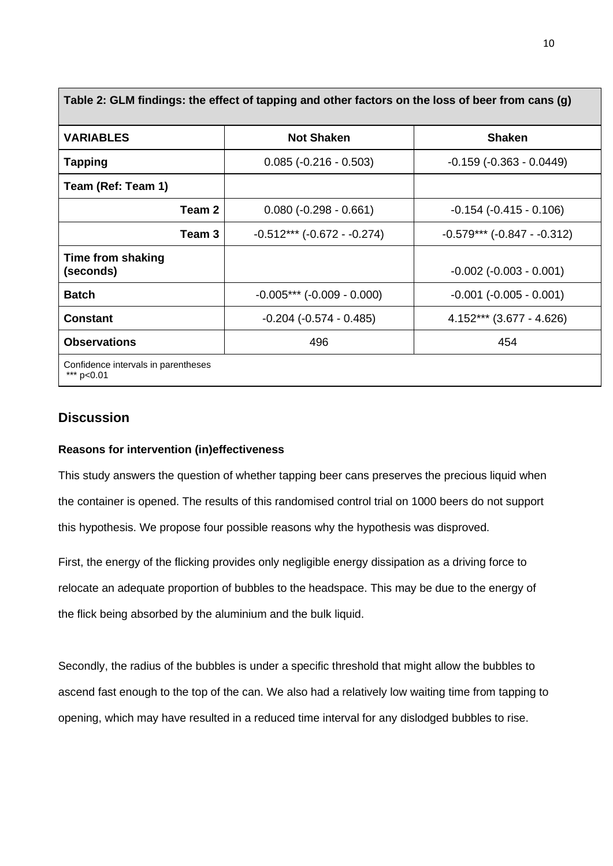| Table 2: GLM findings: the effect of tapping and other factors on the loss of beer from cans (g) |                                  |                                |  |  |  |  |
|--------------------------------------------------------------------------------------------------|----------------------------------|--------------------------------|--|--|--|--|
| <b>VARIABLES</b>                                                                                 | <b>Not Shaken</b>                | <b>Shaken</b>                  |  |  |  |  |
| <b>Tapping</b>                                                                                   | $0.085 (-0.216 - 0.503)$         | $-0.159(-0.363 - 0.0449)$      |  |  |  |  |
| Team (Ref: Team 1)                                                                               |                                  |                                |  |  |  |  |
| Team 2                                                                                           | $0.080$ (-0.298 - 0.661)         | $-0.154$ $(-0.415 - 0.106)$    |  |  |  |  |
| Team 3                                                                                           | $-0.512***$ ( $-0.672-.0.274$ )  | $-0.579***$ $(-0.847 - 0.312)$ |  |  |  |  |
| Time from shaking<br>(seconds)                                                                   |                                  | $-0.002$ $(-0.003 - 0.001)$    |  |  |  |  |
| <b>Batch</b>                                                                                     | $-0.005***$ ( $-0.009 - 0.000$ ) | $-0.001$ $(-0.005 - 0.001)$    |  |  |  |  |
| <b>Constant</b>                                                                                  | $-0.204$ $(-0.574 - 0.485)$      | $4.152***$ (3.677 - 4.626)     |  |  |  |  |
| <b>Observations</b>                                                                              | 496                              | 454                            |  |  |  |  |
| Confidence intervals in parentheses<br>*** $p<0.01$                                              |                                  |                                |  |  |  |  |

**Discussion** 

### **Reasons for intervention (in)effectiveness**

This study answers the question of whether tapping beer cans preserves the precious liquid when the container is opened. The results of this randomised control trial on 1000 beers do not support this hypothesis. We propose four possible reasons why the hypothesis was disproved.

First, the energy of the flicking provides only negligible energy dissipation as a driving force to relocate an adequate proportion of bubbles to the headspace. This may be due to the energy of the flick being absorbed by the aluminium and the bulk liquid.

Secondly, the radius of the bubbles is under a specific threshold that might allow the bubbles to ascend fast enough to the top of the can. We also had a relatively low waiting time from tapping to opening, which may have resulted in a reduced time interval for any dislodged bubbles to rise.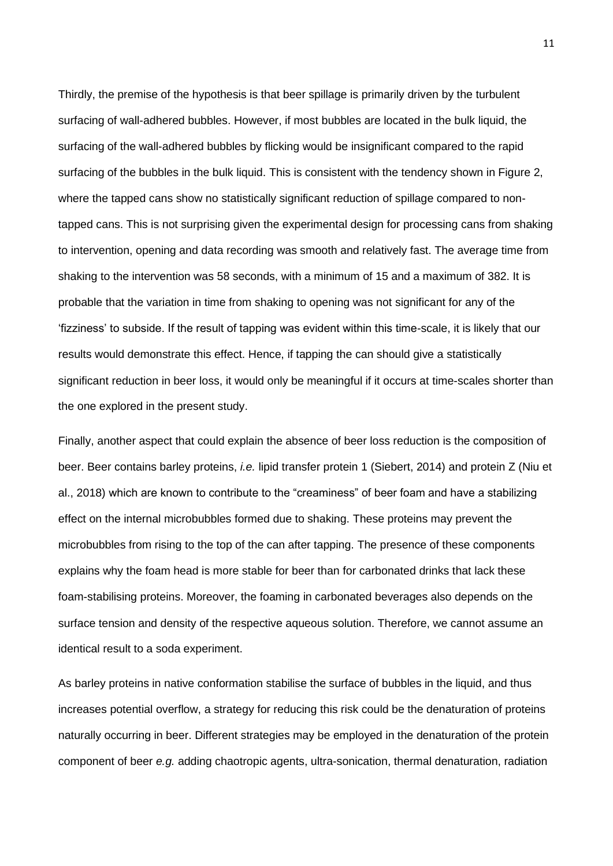Thirdly, the premise of the hypothesis is that beer spillage is primarily driven by the turbulent surfacing of wall-adhered bubbles. However, if most bubbles are located in the bulk liquid, the surfacing of the wall-adhered bubbles by flicking would be insignificant compared to the rapid surfacing of the bubbles in the bulk liquid. This is consistent with the tendency shown in Figure 2, where the tapped cans show no statistically significant reduction of spillage compared to nontapped cans. This is not surprising given the experimental design for processing cans from shaking to intervention, opening and data recording was smooth and relatively fast. The average time from shaking to the intervention was 58 seconds, with a minimum of 15 and a maximum of 382. It is probable that the variation in time from shaking to opening was not significant for any of the 'fizziness' to subside. If the result of tapping was evident within this time-scale, it is likely that our results would demonstrate this effect. Hence, if tapping the can should give a statistically significant reduction in beer loss, it would only be meaningful if it occurs at time-scales shorter than the one explored in the present study.

Finally, another aspect that could explain the absence of beer loss reduction is the composition of beer. Beer contains barley proteins, *i.e.* lipid transfer protein 1 (Siebert, 2014) and protein Z (Niu et al., 2018) which are known to contribute to the "creaminess" of beer foam and have a stabilizing effect on the internal microbubbles formed due to shaking. These proteins may prevent the microbubbles from rising to the top of the can after tapping. The presence of these components explains why the foam head is more stable for beer than for carbonated drinks that lack these foam-stabilising proteins. Moreover, the foaming in carbonated beverages also depends on the surface tension and density of the respective aqueous solution. Therefore, we cannot assume an identical result to a soda experiment.

As barley proteins in native conformation stabilise the surface of bubbles in the liquid, and thus increases potential overflow, a strategy for reducing this risk could be the denaturation of proteins naturally occurring in beer. Different strategies may be employed in the denaturation of the protein component of beer *e.g.* adding chaotropic agents, ultra-sonication, thermal denaturation, radiation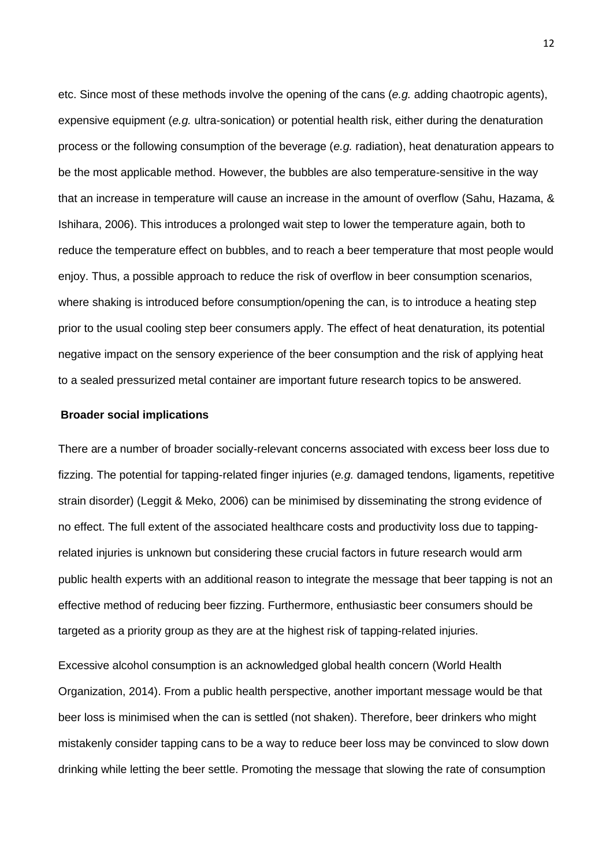etc. Since most of these methods involve the opening of the cans (*e.g.* adding chaotropic agents), expensive equipment (*e.g.* ultra-sonication) or potential health risk, either during the denaturation process or the following consumption of the beverage (*e.g.* radiation), heat denaturation appears to be the most applicable method. However, the bubbles are also temperature-sensitive in the way that an increase in temperature will cause an increase in the amount of overflow (Sahu, Hazama, & Ishihara, 2006). This introduces a prolonged wait step to lower the temperature again, both to reduce the temperature effect on bubbles, and to reach a beer temperature that most people would enjoy. Thus, a possible approach to reduce the risk of overflow in beer consumption scenarios, where shaking is introduced before consumption/opening the can, is to introduce a heating step prior to the usual cooling step beer consumers apply. The effect of heat denaturation, its potential negative impact on the sensory experience of the beer consumption and the risk of applying heat to a sealed pressurized metal container are important future research topics to be answered.

#### **Broader social implications**

There are a number of broader socially-relevant concerns associated with excess beer loss due to fizzing. The potential for tapping-related finger injuries (*e.g.* damaged tendons, ligaments, repetitive strain disorder) (Leggit & Meko, 2006) can be minimised by disseminating the strong evidence of no effect. The full extent of the associated healthcare costs and productivity loss due to tappingrelated injuries is unknown but considering these crucial factors in future research would arm public health experts with an additional reason to integrate the message that beer tapping is not an effective method of reducing beer fizzing. Furthermore, enthusiastic beer consumers should be targeted as a priority group as they are at the highest risk of tapping-related injuries.

Excessive alcohol consumption is an acknowledged global health concern (World Health Organization, 2014). From a public health perspective, another important message would be that beer loss is minimised when the can is settled (not shaken). Therefore, beer drinkers who might mistakenly consider tapping cans to be a way to reduce beer loss may be convinced to slow down drinking while letting the beer settle. Promoting the message that slowing the rate of consumption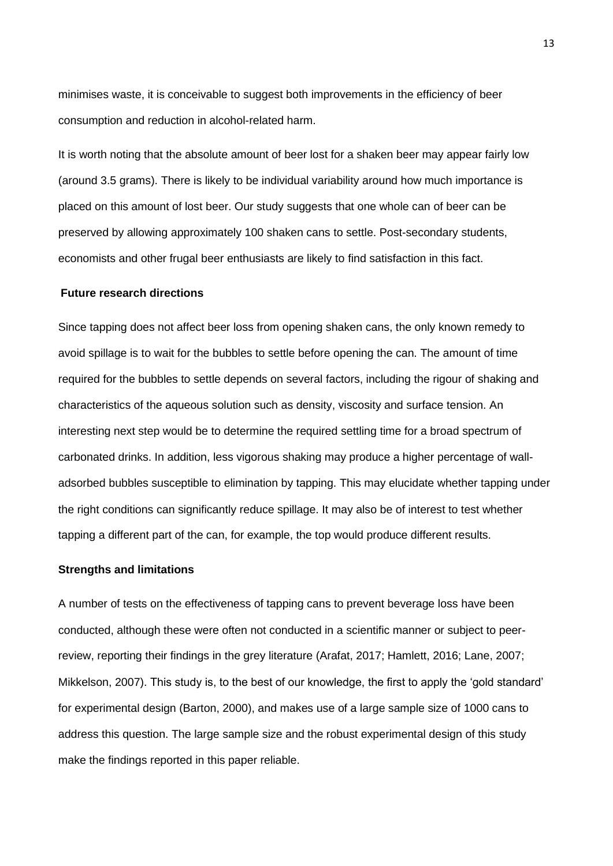minimises waste, it is conceivable to suggest both improvements in the efficiency of beer consumption and reduction in alcohol-related harm.

It is worth noting that the absolute amount of beer lost for a shaken beer may appear fairly low (around 3.5 grams). There is likely to be individual variability around how much importance is placed on this amount of lost beer. Our study suggests that one whole can of beer can be preserved by allowing approximately 100 shaken cans to settle. Post-secondary students, economists and other frugal beer enthusiasts are likely to find satisfaction in this fact.

#### **Future research directions**

Since tapping does not affect beer loss from opening shaken cans, the only known remedy to avoid spillage is to wait for the bubbles to settle before opening the can. The amount of time required for the bubbles to settle depends on several factors, including the rigour of shaking and characteristics of the aqueous solution such as density, viscosity and surface tension. An interesting next step would be to determine the required settling time for a broad spectrum of carbonated drinks. In addition, less vigorous shaking may produce a higher percentage of walladsorbed bubbles susceptible to elimination by tapping. This may elucidate whether tapping under the right conditions can significantly reduce spillage. It may also be of interest to test whether tapping a different part of the can, for example, the top would produce different results.

#### **Strengths and limitations**

A number of tests on the effectiveness of tapping cans to prevent beverage loss have been conducted, although these were often not conducted in a scientific manner or subject to peerreview, reporting their findings in the grey literature (Arafat, 2017; Hamlett, 2016; Lane, 2007; Mikkelson, 2007). This study is, to the best of our knowledge, the first to apply the 'gold standard' for experimental design (Barton, 2000), and makes use of a large sample size of 1000 cans to address this question. The large sample size and the robust experimental design of this study make the findings reported in this paper reliable.

13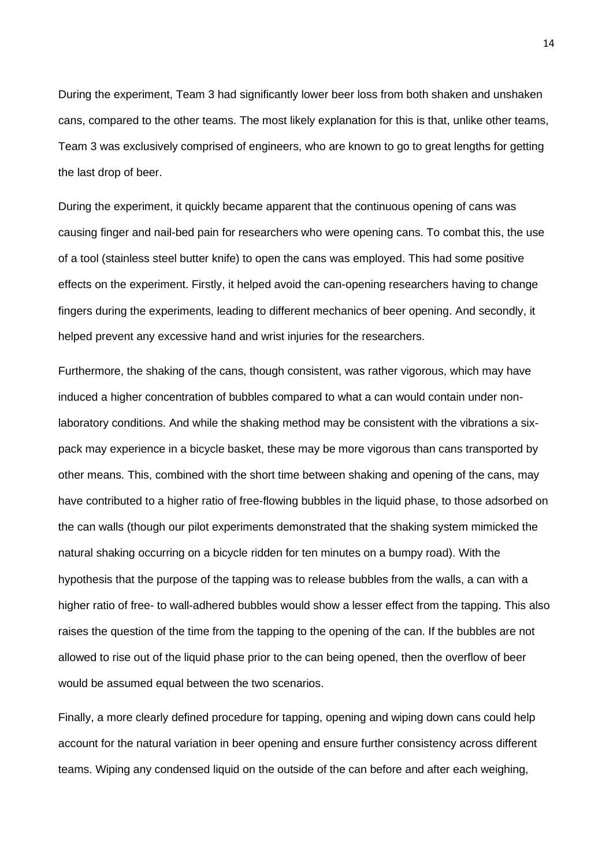During the experiment, Team 3 had significantly lower beer loss from both shaken and unshaken cans, compared to the other teams. The most likely explanation for this is that, unlike other teams, Team 3 was exclusively comprised of engineers, who are known to go to great lengths for getting the last drop of beer.

During the experiment, it quickly became apparent that the continuous opening of cans was causing finger and nail-bed pain for researchers who were opening cans. To combat this, the use of a tool (stainless steel butter knife) to open the cans was employed. This had some positive effects on the experiment. Firstly, it helped avoid the can-opening researchers having to change fingers during the experiments, leading to different mechanics of beer opening. And secondly, it helped prevent any excessive hand and wrist injuries for the researchers.

Furthermore, the shaking of the cans, though consistent, was rather vigorous, which may have induced a higher concentration of bubbles compared to what a can would contain under nonlaboratory conditions. And while the shaking method may be consistent with the vibrations a sixpack may experience in a bicycle basket, these may be more vigorous than cans transported by other means. This, combined with the short time between shaking and opening of the cans, may have contributed to a higher ratio of free-flowing bubbles in the liquid phase, to those adsorbed on the can walls (though our pilot experiments demonstrated that the shaking system mimicked the natural shaking occurring on a bicycle ridden for ten minutes on a bumpy road). With the hypothesis that the purpose of the tapping was to release bubbles from the walls, a can with a higher ratio of free- to wall-adhered bubbles would show a lesser effect from the tapping. This also raises the question of the time from the tapping to the opening of the can. If the bubbles are not allowed to rise out of the liquid phase prior to the can being opened, then the overflow of beer would be assumed equal between the two scenarios.

Finally, a more clearly defined procedure for tapping, opening and wiping down cans could help account for the natural variation in beer opening and ensure further consistency across different teams. Wiping any condensed liquid on the outside of the can before and after each weighing,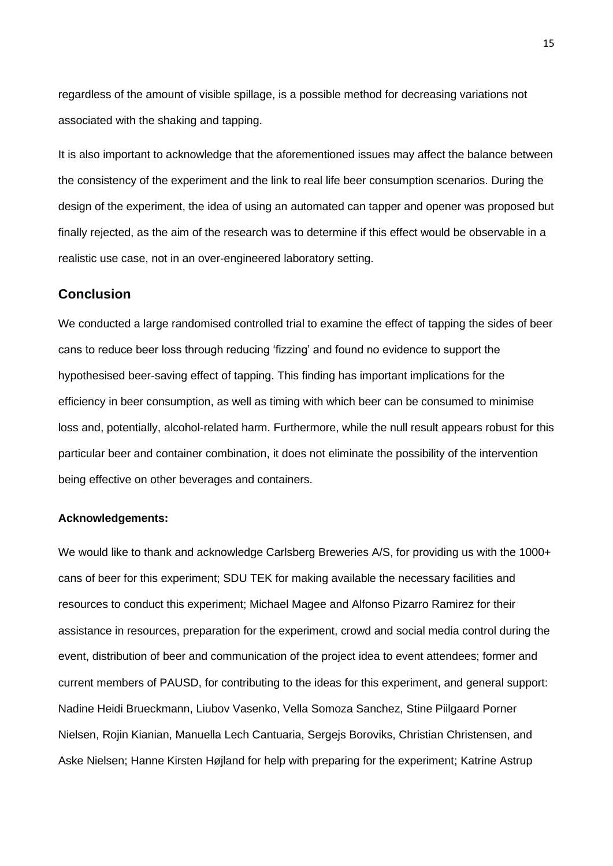regardless of the amount of visible spillage, is a possible method for decreasing variations not associated with the shaking and tapping.

It is also important to acknowledge that the aforementioned issues may affect the balance between the consistency of the experiment and the link to real life beer consumption scenarios. During the design of the experiment, the idea of using an automated can tapper and opener was proposed but finally rejected, as the aim of the research was to determine if this effect would be observable in a realistic use case, not in an over-engineered laboratory setting.

## **Conclusion**

We conducted a large randomised controlled trial to examine the effect of tapping the sides of beer cans to reduce beer loss through reducing 'fizzing' and found no evidence to support the hypothesised beer-saving effect of tapping. This finding has important implications for the efficiency in beer consumption, as well as timing with which beer can be consumed to minimise loss and, potentially, alcohol-related harm. Furthermore, while the null result appears robust for this particular beer and container combination, it does not eliminate the possibility of the intervention being effective on other beverages and containers.

### **Acknowledgements:**

We would like to thank and acknowledge Carlsberg Breweries A/S, for providing us with the 1000+ cans of beer for this experiment; SDU TEK for making available the necessary facilities and resources to conduct this experiment; Michael Magee and Alfonso Pizarro Ramirez for their assistance in resources, preparation for the experiment, crowd and social media control during the event, distribution of beer and communication of the project idea to event attendees; former and current members of PAUSD, for contributing to the ideas for this experiment, and general support: Nadine Heidi Brueckmann, Liubov Vasenko, Vella Somoza Sanchez, Stine Piilgaard Porner Nielsen, Rojin Kianian, Manuella Lech Cantuaria, Sergejs Boroviks, Christian Christensen, and Aske Nielsen; Hanne Kirsten Højland for help with preparing for the experiment; Katrine Astrup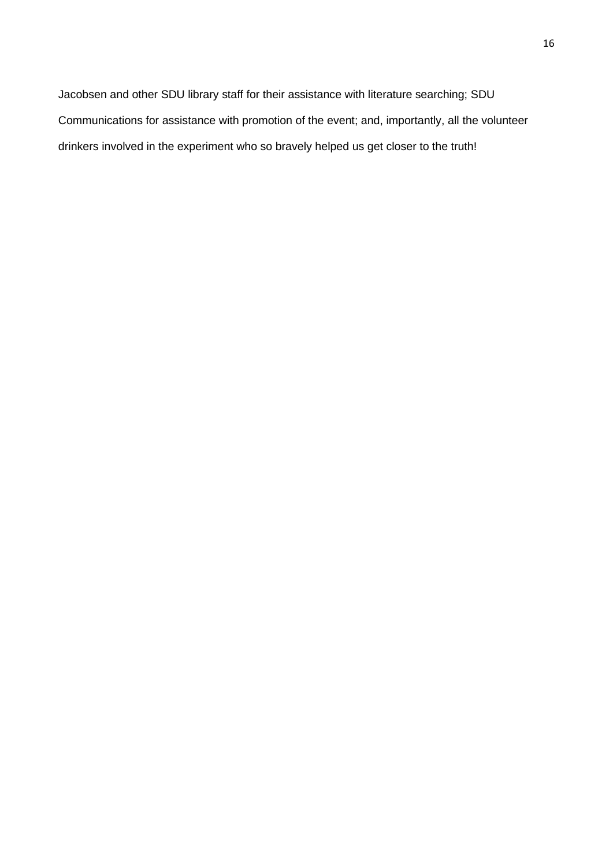Jacobsen and other SDU library staff for their assistance with literature searching; SDU Communications for assistance with promotion of the event; and, importantly, all the volunteer drinkers involved in the experiment who so bravely helped us get closer to the truth!